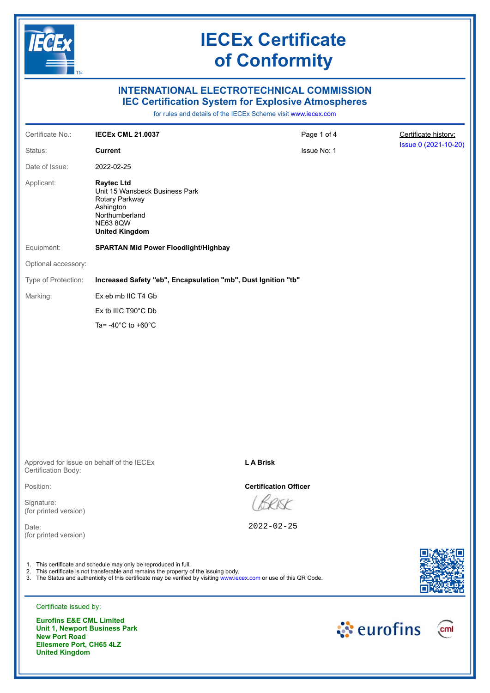

## **INTERNATIONAL ELECTROTECHNICAL COMMISSION IEC Certification System for Explosive Atmospheres**

for rules and details of the IECEx Scheme visit [www.iecex.com](https://www.iecex.com)

| Certificate No.:                                            | <b>IECEX CML 21.0037</b>                                                                                                                                                                                                                                                          | Page 1 of 4                  | Certificate history: |
|-------------------------------------------------------------|-----------------------------------------------------------------------------------------------------------------------------------------------------------------------------------------------------------------------------------------------------------------------------------|------------------------------|----------------------|
| Status:                                                     | <b>Current</b>                                                                                                                                                                                                                                                                    | Issue No: 1                  | Issue 0 (2021-10-20) |
| Date of Issue:                                              | 2022-02-25                                                                                                                                                                                                                                                                        |                              |                      |
| Applicant:                                                  | <b>Raytec Ltd</b><br>Unit 15 Wansbeck Business Park<br>Rotary Parkway<br>Ashington<br>Northumberland<br><b>NE63 8QW</b><br><b>United Kingdom</b>                                                                                                                                  |                              |                      |
| Equipment:                                                  | <b>SPARTAN Mid Power Floodlight/Highbay</b>                                                                                                                                                                                                                                       |                              |                      |
| Optional accessory:                                         |                                                                                                                                                                                                                                                                                   |                              |                      |
| Type of Protection:                                         | Increased Safety "eb", Encapsulation "mb", Dust Ignition "tb"                                                                                                                                                                                                                     |                              |                      |
| Marking:                                                    | Ex eb mb IIC T4 Gb                                                                                                                                                                                                                                                                |                              |                      |
|                                                             | Ex tb IIIC T90°C Db                                                                                                                                                                                                                                                               |                              |                      |
|                                                             | Ta= $-40^{\circ}$ C to $+60^{\circ}$ C                                                                                                                                                                                                                                            |                              |                      |
|                                                             |                                                                                                                                                                                                                                                                                   | <b>LA Brisk</b>              |                      |
| Certification Body:                                         | Approved for issue on behalf of the IECEx                                                                                                                                                                                                                                         |                              |                      |
| Position:                                                   |                                                                                                                                                                                                                                                                                   | <b>Certification Officer</b> |                      |
| Signature:<br>(for printed version)                         |                                                                                                                                                                                                                                                                                   |                              |                      |
| Date:<br>(for printed version)                              |                                                                                                                                                                                                                                                                                   | $2022 - 02 - 25$             |                      |
|                                                             | 1. This certificate and schedule may only be reproduced in full.<br>2. This certificate is not transferable and remains the property of the issuing body.<br>3. The Status and authenticity of this certificate may be verified by visiting www.iecex.com or use of this QR Code. |                              |                      |
| Certificate issued by:                                      |                                                                                                                                                                                                                                                                                   |                              |                      |
| <b>Eurofins E&amp;E CML Limited</b><br><b>New Port Road</b> | Unit 1, Newport Business Park                                                                                                                                                                                                                                                     |                              | े eurofins<br>cm     |

**New Port Road Ellesmere Port, CH65 4LZ United Kingdom**

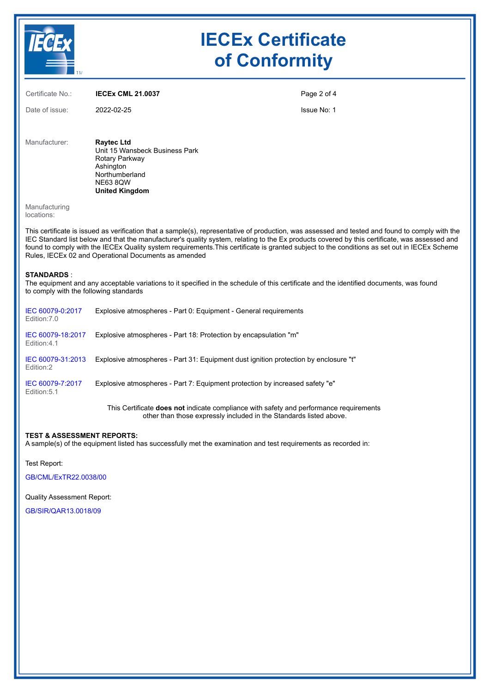

| Certificate No.:            | <b>IECEX CML 21.0037</b>                                                                                                                                                                                                                                                                                                                                                                                                                                                                                 | Page 2 of 4 |
|-----------------------------|----------------------------------------------------------------------------------------------------------------------------------------------------------------------------------------------------------------------------------------------------------------------------------------------------------------------------------------------------------------------------------------------------------------------------------------------------------------------------------------------------------|-------------|
| Date of issue:              | 2022-02-25                                                                                                                                                                                                                                                                                                                                                                                                                                                                                               | Issue No: 1 |
| Manufacturer:               | <b>Raytec Ltd</b><br>Unit 15 Wansbeck Business Park<br>Rotary Parkway<br>Ashington<br>Northumberland<br><b>NE63 8QW</b><br><b>United Kingdom</b>                                                                                                                                                                                                                                                                                                                                                         |             |
| Manufacturing<br>locations: |                                                                                                                                                                                                                                                                                                                                                                                                                                                                                                          |             |
|                             | This certificate is issued as verification that a sample(s), representative of production, was assessed and tested and found to comply with the<br>IEC Standard list below and that the manufacturer's quality system, relating to the Ex products covered by this certificate, was assessed and<br>found to comply with the IECEx Quality system requirements. This certificate is granted subject to the conditions as set out in IECEx Scheme<br>Rules, IECEx 02 and Operational Documents as amended |             |

#### **STANDARDS** :

The equipment and any acceptable variations to it specified in the schedule of this certificate and the identified documents, was found to comply with the following standards

| IEC 60079-0:2017<br>Edition: 7.0 | Explosive atmospheres - Part 0: Equipment - General requirements                                                                                                                          |
|----------------------------------|-------------------------------------------------------------------------------------------------------------------------------------------------------------------------------------------|
| IEC 60079-18:2017<br>Edition:4.1 | Explosive atmospheres - Part 18: Protection by encapsulation "m"                                                                                                                          |
| IEC 60079-31:2013<br>Edition:2   | Explosive atmospheres - Part 31: Equipment dust ignition protection by enclosure "t"                                                                                                      |
| IEC 60079-7:2017<br>Edition: 5.1 | Explosive atmospheres - Part 7: Equipment protection by increased safety "e"                                                                                                              |
|                                  | This Certificate <b>does not</b> indicate compliance with safety and performance requirements<br>a tha an than a tha a coileann a choile a bhail a tha tha a Otama damha. Batail a bhaile |

other than those expressly included in the Standards listed above.

### **TEST & ASSESSMENT REPORTS:**

A sample(s) of the equipment listed has successfully met the examination and test requirements as recorded in:

Test Report:

[GB/CML/ExTR22.0038/00](https://www.iecex-certs.com/#/deliverables/REPORT/81548/view)

Quality Assessment Report:

[GB/SIR/QAR13.0018/09](https://www.iecex-certs.com/#/deliverables/REPORT/80956/view)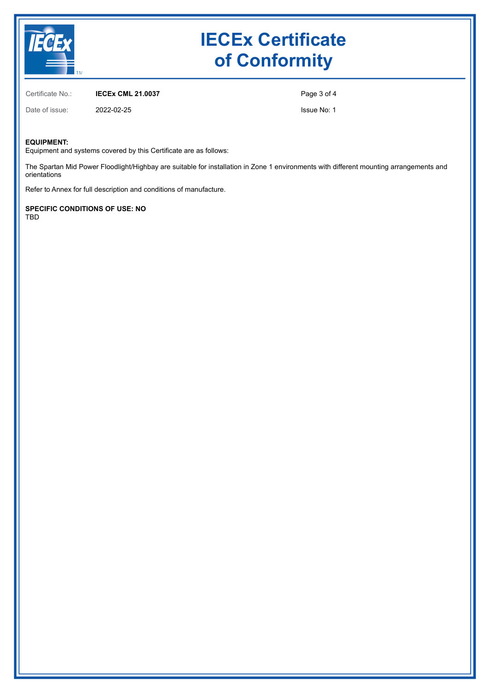

Certificate No.: **IECEx CML 21.0037**

Page 3 of 4

Issue No: 1

#### **EQUIPMENT:**

Equipment and systems covered by this Certificate are as follows:

The Spartan Mid Power Floodlight/Highbay are suitable for installation in Zone 1 environments with different mounting arrangements and orientations

Refer to Annex for full description and conditions of manufacture.

**SPECIFIC CONDITIONS OF USE: NO** TBD

Date of issue: 2022-02-25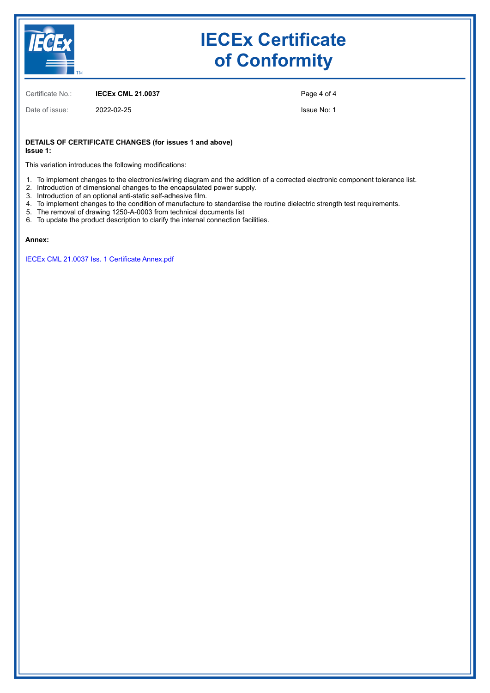

Certificate No.: **IECEx CML 21.0037**

Date of issue: 2022-02-25

Page 4 of 4

Issue No: 1

#### **DETAILS OF CERTIFICATE CHANGES (for issues 1 and above) Issue 1:**

This variation introduces the following modifications:

- 1. To implement changes to the electronics/wiring diagram and the addition of a corrected electronic component tolerance list.
- 2. Introduction of dimensional changes to the encapsulated power supply.
- 3. Introduction of an optional anti-static self-adhesive film.
- 4. To implement changes to the condition of manufacture to standardise the routine dielectric strength test requirements.
- 5. The removal of drawing 1250-A-0003 from technical documents list
- 6. To update the product description to clarify the internal connection facilities.

#### **Annex:**

[IECEx CML 21.0037 Iss. 1 Certificate Annex.pdf](https://www.iecex-certs.com/#/deliverables/CERT/59550/view)